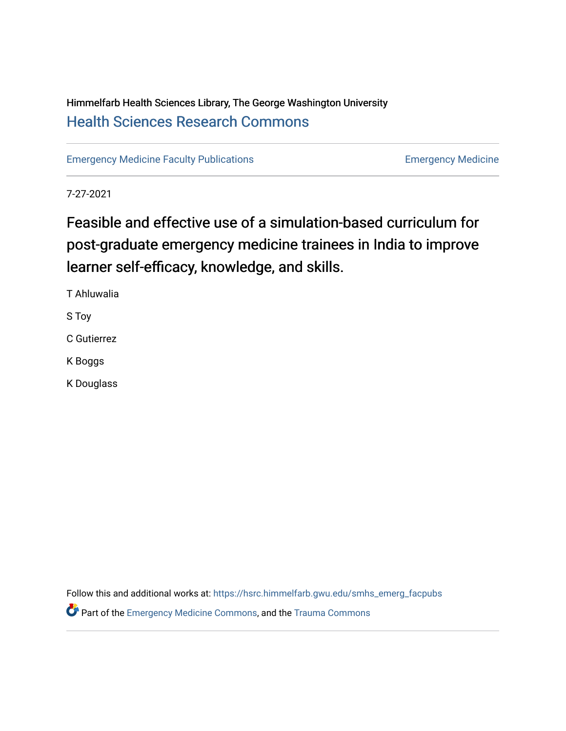# Himmelfarb Health Sciences Library, The George Washington University [Health Sciences Research Commons](https://hsrc.himmelfarb.gwu.edu/)

[Emergency Medicine Faculty Publications](https://hsrc.himmelfarb.gwu.edu/smhs_emerg_facpubs) **Emergency Medicine** Emergency Medicine

7-27-2021

# Feasible and effective use of a simulation-based curriculum for post-graduate emergency medicine trainees in India to improve learner self-efficacy, knowledge, and skills.

T Ahluwalia

S Toy

C Gutierrez

K Boggs

K Douglass

Follow this and additional works at: [https://hsrc.himmelfarb.gwu.edu/smhs\\_emerg\\_facpubs](https://hsrc.himmelfarb.gwu.edu/smhs_emerg_facpubs?utm_source=hsrc.himmelfarb.gwu.edu%2Fsmhs_emerg_facpubs%2F1098&utm_medium=PDF&utm_campaign=PDFCoverPages) 

**P** Part of the [Emergency Medicine Commons](http://network.bepress.com/hgg/discipline/685?utm_source=hsrc.himmelfarb.gwu.edu%2Fsmhs_emerg_facpubs%2F1098&utm_medium=PDF&utm_campaign=PDFCoverPages), and the Trauma Commons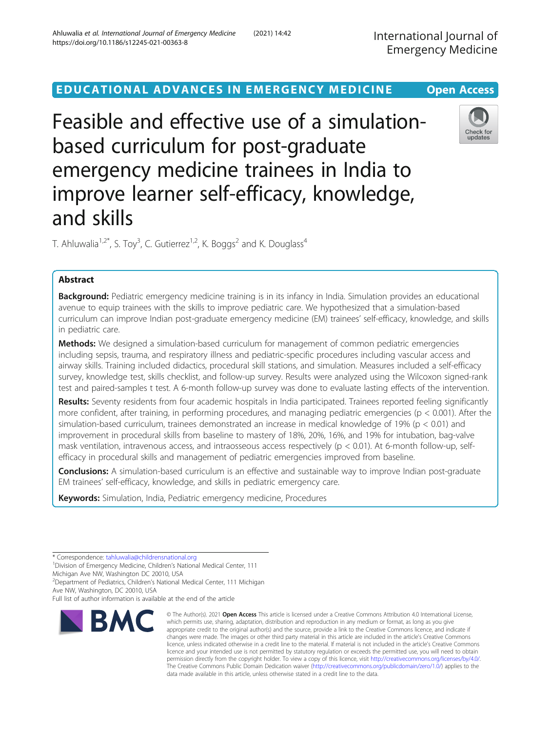# EDUCATIONAL ADVANCES IN EMERGENCY MEDICINE Open Access

Feasible and effective use of a simulationbased curriculum for post-graduate emergency medicine trainees in India to improve learner self-efficacy, knowledge, and skills

T. Ahluwalia<sup>1,2\*</sup>, S. Toy<sup>3</sup>, C. Gutierrez<sup>1,2</sup>, K. Boggs<sup>2</sup> and K. Douglass<sup>4</sup>

# Abstract

Background: Pediatric emergency medicine training is in its infancy in India. Simulation provides an educational avenue to equip trainees with the skills to improve pediatric care. We hypothesized that a simulation-based curriculum can improve Indian post-graduate emergency medicine (EM) trainees' self-efficacy, knowledge, and skills in pediatric care.

Methods: We designed a simulation-based curriculum for management of common pediatric emergencies including sepsis, trauma, and respiratory illness and pediatric-specific procedures including vascular access and airway skills. Training included didactics, procedural skill stations, and simulation. Measures included a self-efficacy survey, knowledge test, skills checklist, and follow-up survey. Results were analyzed using the Wilcoxon signed-rank test and paired-samples t test. A 6-month follow-up survey was done to evaluate lasting effects of the intervention.

Results: Seventy residents from four academic hospitals in India participated. Trainees reported feeling significantly more confident, after training, in performing procedures, and managing pediatric emergencies (p < 0.001). After the simulation-based curriculum, trainees demonstrated an increase in medical knowledge of 19% (p < 0.01) and improvement in procedural skills from baseline to mastery of 18%, 20%, 16%, and 19% for intubation, bag-valve mask ventilation, intravenous access, and intraosseous access respectively ( $p < 0.01$ ). At 6-month follow-up, selfefficacy in procedural skills and management of pediatric emergencies improved from baseline.

Conclusions: A simulation-based curriculum is an effective and sustainable way to improve Indian post-graduate EM trainees' self-efficacy, knowledge, and skills in pediatric emergency care.

data made available in this article, unless otherwise stated in a credit line to the data.

© The Author(s), 2021 **Open Access** This article is licensed under a Creative Commons Attribution 4.0 International License, which permits use, sharing, adaptation, distribution and reproduction in any medium or format, as long as you give

Keywords: Simulation, India, Pediatric emergency medicine, Procedures

\* Correspondence: [tahluwalia@childrensnational.org](mailto:tahluwalia@childrensnational.org) <sup>1</sup>

**RMC** 

<sup>1</sup> Division of Emergency Medicine, Children's National Medical Center, 111 Michigan Ave NW, Washington DC 20010, USA

<sup>2</sup>Department of Pediatrics, Children's National Medical Center, 111 Michigan

Ave NW, Washington, DC 20010, USA



Check for updates

Full list of author information is available at the end of the article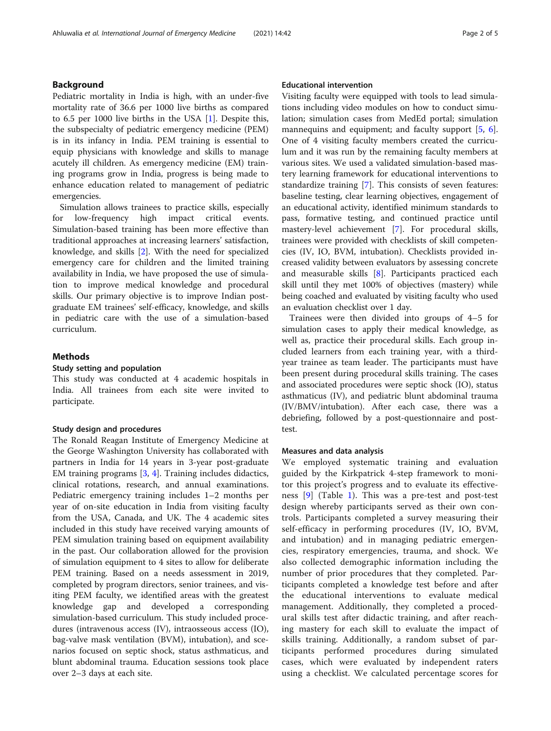# Background

Pediatric mortality in India is high, with an under-five mortality rate of 36.6 per 1000 live births as compared to 6.5 per 1000 live births in the USA [[1\]](#page-5-0). Despite this, the subspecialty of pediatric emergency medicine (PEM) is in its infancy in India. PEM training is essential to equip physicians with knowledge and skills to manage acutely ill children. As emergency medicine (EM) training programs grow in India, progress is being made to enhance education related to management of pediatric emergencies.

Simulation allows trainees to practice skills, especially for low-frequency high impact critical events. Simulation-based training has been more effective than traditional approaches at increasing learners' satisfaction, knowledge, and skills [\[2](#page-5-0)]. With the need for specialized emergency care for children and the limited training availability in India, we have proposed the use of simulation to improve medical knowledge and procedural skills. Our primary objective is to improve Indian postgraduate EM trainees' self-efficacy, knowledge, and skills in pediatric care with the use of a simulation-based curriculum.

## **Methods**

#### Study setting and population

This study was conducted at 4 academic hospitals in India. All trainees from each site were invited to participate.

# Study design and procedures

The Ronald Reagan Institute of Emergency Medicine at the George Washington University has collaborated with partners in India for 14 years in 3-year post-graduate EM training programs [\[3](#page-5-0), [4](#page-5-0)]. Training includes didactics, clinical rotations, research, and annual examinations. Pediatric emergency training includes 1–2 months per year of on-site education in India from visiting faculty from the USA, Canada, and UK. The 4 academic sites included in this study have received varying amounts of PEM simulation training based on equipment availability in the past. Our collaboration allowed for the provision of simulation equipment to 4 sites to allow for deliberate PEM training. Based on a needs assessment in 2019, completed by program directors, senior trainees, and visiting PEM faculty, we identified areas with the greatest knowledge gap and developed a corresponding simulation-based curriculum. This study included procedures (intravenous access (IV), intraosseous access (IO), bag-valve mask ventilation (BVM), intubation), and scenarios focused on septic shock, status asthmaticus, and blunt abdominal trauma. Education sessions took place over 2–3 days at each site.

# Educational intervention

Visiting faculty were equipped with tools to lead simulations including video modules on how to conduct simulation; simulation cases from MedEd portal; simulation mannequins and equipment; and faculty support [\[5](#page-5-0), [6](#page-5-0)]. One of 4 visiting faculty members created the curriculum and it was run by the remaining faculty members at various sites. We used a validated simulation-based mastery learning framework for educational interventions to standardize training [\[7](#page-5-0)]. This consists of seven features: baseline testing, clear learning objectives, engagement of an educational activity, identified minimum standards to pass, formative testing, and continued practice until mastery-level achievement [\[7\]](#page-5-0). For procedural skills, trainees were provided with checklists of skill competencies (IV, IO, BVM, intubation). Checklists provided increased validity between evaluators by assessing concrete and measurable skills [[8\]](#page-5-0). Participants practiced each skill until they met 100% of objectives (mastery) while being coached and evaluated by visiting faculty who used an evaluation checklist over 1 day.

Trainees were then divided into groups of 4–5 for simulation cases to apply their medical knowledge, as well as, practice their procedural skills. Each group included learners from each training year, with a thirdyear trainee as team leader. The participants must have been present during procedural skills training. The cases and associated procedures were septic shock (IO), status asthmaticus (IV), and pediatric blunt abdominal trauma (IV/BMV/intubation). After each case, there was a debriefing, followed by a post-questionnaire and posttest.

#### Measures and data analysis

We employed systematic training and evaluation guided by the Kirkpatrick 4-step framework to monitor this project's progress and to evaluate its effectiveness [[9\]](#page-5-0) (Table [1\)](#page-3-0). This was a pre-test and post-test design whereby participants served as their own controls. Participants completed a survey measuring their self-efficacy in performing procedures (IV, IO, BVM, and intubation) and in managing pediatric emergencies, respiratory emergencies, trauma, and shock. We also collected demographic information including the number of prior procedures that they completed. Participants completed a knowledge test before and after the educational interventions to evaluate medical management. Additionally, they completed a procedural skills test after didactic training, and after reaching mastery for each skill to evaluate the impact of skills training. Additionally, a random subset of participants performed procedures during simulated cases, which were evaluated by independent raters using a checklist. We calculated percentage scores for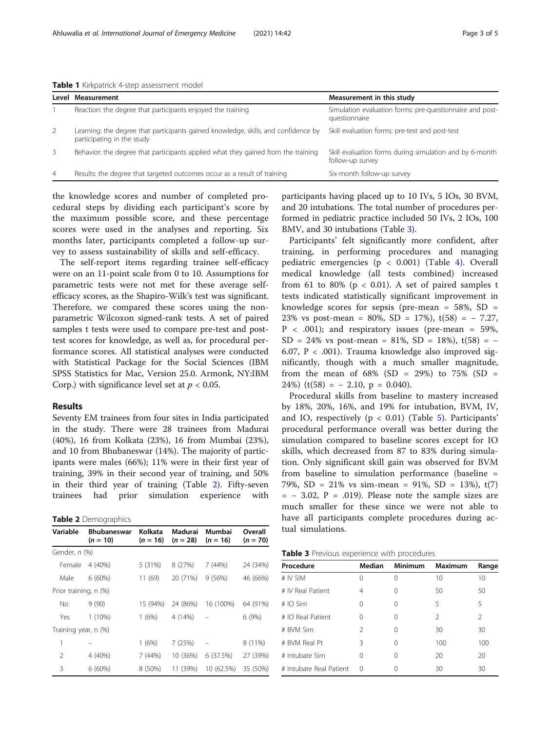<span id="page-3-0"></span>Table 1 Kirkpatrick 4-step assessment model

|                | Level Measurement                                                                                                | Measurement in this study                                                   |
|----------------|------------------------------------------------------------------------------------------------------------------|-----------------------------------------------------------------------------|
|                | Reaction: the degree that participants enjoyed the training                                                      | Simulation evaluation forms: pre-questionnaire and post-<br>questionnaire   |
| 2              | Learning: the degree that participants gained knowledge, skills, and confidence by<br>participating in the study | Skill evaluation forms: pre-test and post-test                              |
| $\overline{3}$ | Behavior: the degree that participants applied what they gained from the training                                | Skill evaluation forms during simulation and by 6-month<br>follow-up survey |
| $\overline{4}$ | Results: the degree that targeted outcomes occur as a result of training                                         | Six-month follow-up survey                                                  |

the knowledge scores and number of completed procedural steps by dividing each participant's score by the maximum possible score, and these percentage scores were used in the analyses and reporting. Six months later, participants completed a follow-up survey to assess sustainability of skills and self-efficacy.

The self-report items regarding trainee self-efficacy were on an 11-point scale from 0 to 10. Assumptions for parametric tests were not met for these average selfefficacy scores, as the Shapiro-Wilk's test was significant. Therefore, we compared these scores using the nonparametric Wilcoxon signed-rank tests. A set of paired samples t tests were used to compare pre-test and posttest scores for knowledge, as well as, for procedural performance scores. All statistical analyses were conducted with Statistical Package for the Social Sciences (IBM SPSS Statistics for Mac, Version 25.0. Armonk, NY:IBM Corp.) with significance level set at  $p < 0.05$ .

#### Results

Seventy EM trainees from four sites in India participated in the study. There were 28 trainees from Madurai (40%), 16 from Kolkata (23%), 16 from Mumbai (23%), and 10 from Bhubaneswar (14%). The majority of participants were males (66%); 11% were in their first year of training, 39% in their second year of training, and 50% in their third year of training (Table 2). Fifty-seven trainees had prior simulation experience with

Table 2 Demographics

| <b>Bhubaneswar</b><br>$(n = 10)$ | Kolkata<br>$(n = 16)$                 | Madurai<br>$(n = 28)$ | Mumbai<br>$(n = 16)$                                                      | Overall<br>$(n = 70)$ |  |
|----------------------------------|---------------------------------------|-----------------------|---------------------------------------------------------------------------|-----------------------|--|
|                                  |                                       |                       |                                                                           |                       |  |
| 4 (40%)                          | 5 (31%)                               | 8 (27%)               | 7(44%)                                                                    | 24 (34%)              |  |
| 6(60%)                           | 11(69)                                | 20 (71%)              | 9(56%)                                                                    | 46 (66%)              |  |
| Prior training, n (%)            |                                       |                       |                                                                           |                       |  |
| 9(90)                            | 15 (94%)                              | 24 (86%)              | 16 (100%)                                                                 | 64 (91%)              |  |
| $1(10\%)$                        | 1(6%)                                 | 4 (14%)               | $\hspace{1.0cm} \rule{1.5cm}{0.15cm} \hspace{1.0cm} \rule{1.5cm}{0.15cm}$ | 6(9%)                 |  |
|                                  |                                       |                       |                                                                           |                       |  |
|                                  | 1(6%)                                 | 7(25%)                |                                                                           | 8 (11%)               |  |
| 4 (40%)                          | 7(44%)                                | 10 (36%)              | 6 (37.5%)                                                                 | 27 (39%)              |  |
| $6(60\%)$                        | 8 (50%)                               | 11 (39%)              | 10 (62.5%)                                                                | 35 (50%)              |  |
|                                  | Gender, n (%)<br>Training year, n (%) |                       |                                                                           |                       |  |

participants having placed up to 10 IVs, 5 IOs, 30 BVM, and 20 intubations. The total number of procedures performed in pediatric practice included 50 IVs, 2 IOs, 100 BMV, and 30 intubations (Table 3).

Participants' felt significantly more confident, after training, in performing procedures and managing pediatric emergencies (p < 0.001) (Table [4](#page-4-0)). Overall medical knowledge (all tests combined) increased from 61 to 80% ( $p < 0.01$ ). A set of paired samples t tests indicated statistically significant improvement in knowledge scores for sepsis (pre-mean =  $58\%$ , SD = 23% vs post-mean = 80%, SD = 17%),  $t(58)$  = - 7.27,  $P < .001$ ); and respiratory issues (pre-mean = 59%,  $SD = 24\%$  vs post-mean = 81%,  $SD = 18\%$ ,  $t(58) = -$ 6.07, P < .001). Trauma knowledge also improved significantly, though with a much smaller magnitude, from the mean of  $68\%$  (SD = 29%) to  $75\%$  (SD =  $24\%)$  (t(58) = - 2.10, p = 0.040).

Procedural skills from baseline to mastery increased by 18%, 20%, 16%, and 19% for intubation, BVM, IV, and IO, respectively ( $p < 0.01$ ) (Table [5\)](#page-4-0). Participants' procedural performance overall was better during the simulation compared to baseline scores except for IO skills, which decreased from 87 to 83% during simulation. Only significant skill gain was observed for BVM from baseline to simulation performance (baseline = 79%, SD = 21% vs sim-mean = 91%, SD = 13%),  $t(7)$  $=$   $-$  3.02, P  $=$  .019). Please note the sample sizes are much smaller for these since we were not able to have all participants complete procedures during actual simulations.

|--|

| Procedure               | Median        | Minimum | <b>Maximum</b> | Range         |
|-------------------------|---------------|---------|----------------|---------------|
|                         |               |         |                |               |
| # IV SIM                | Ω             | $\cap$  | 10             | 10            |
| # IV Real Patient       | 4             | Ω       | 50             | 50            |
| # IO Sim                | 0             | Ω       | 5              | 5             |
| # IO Real Patient       | Ω             | Ω       | $\mathcal{P}$  | $\mathcal{P}$ |
| # BVM Sim               | $\mathcal{P}$ | Ω       | 30             | 30            |
| # BVM Real Pt           | Β             | Ω       | 100            | 100           |
| # Intubate Sim          | Ω             | Λ       | 20             | 20            |
| # Intubate Real Patient | Ω             |         | 30             | 30            |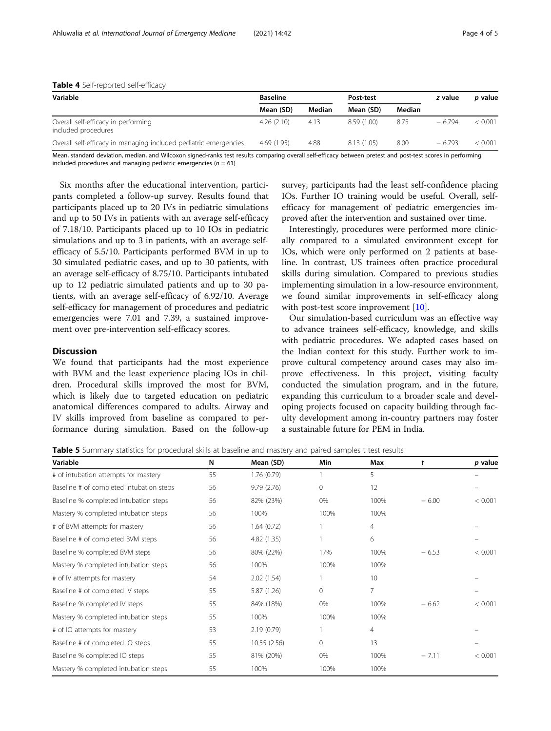|          | <b>Table +</b> Self reported self emeacy |                 |
|----------|------------------------------------------|-----------------|
| Variable |                                          | <b>Baseline</b> |
|          |                                          |                 |

<span id="page-4-0"></span>Table 4 Self-reported self-efficacy

| Variable                                                         | <b>Baseline</b> |        | Post-test   |        | z value  | <i>p</i> value |
|------------------------------------------------------------------|-----------------|--------|-------------|--------|----------|----------------|
|                                                                  | Mean (SD)       | Median | Mean (SD)   | Median |          |                |
| Overall self-efficacy in performing<br>included procedures       | 4.26(2.10)      | 4.13   | 8.59 (1.00) | 8.75   | $-6794$  | < 0.001        |
| Overall self-efficacy in managing included pediatric emergencies | 4.69(1.95)      | 4.88   | 8.13(1.05)  | 8.00   | $-6.793$ | < 0.001        |

Mean, standard deviation, median, and Wilcoxon signed-ranks test results comparing overall self-efficacy between pretest and post-test scores in performing included procedures and managing pediatric emergencies ( $n = 61$ )

Six months after the educational intervention, participants completed a follow-up survey. Results found that participants placed up to 20 IVs in pediatric simulations and up to 50 IVs in patients with an average self-efficacy of 7.18/10. Participants placed up to 10 IOs in pediatric simulations and up to 3 in patients, with an average selfefficacy of 5.5/10. Participants performed BVM in up to 30 simulated pediatric cases, and up to 30 patients, with an average self-efficacy of 8.75/10. Participants intubated up to 12 pediatric simulated patients and up to 30 patients, with an average self-efficacy of 6.92/10. Average self-efficacy for management of procedures and pediatric emergencies were 7.01 and 7.39, a sustained improvement over pre-intervention self-efficacy scores.

# **Discussion**

We found that participants had the most experience with BVM and the least experience placing IOs in children. Procedural skills improved the most for BVM, which is likely due to targeted education on pediatric anatomical differences compared to adults. Airway and IV skills improved from baseline as compared to performance during simulation. Based on the follow-up survey, participants had the least self-confidence placing IOs. Further IO training would be useful. Overall, selfefficacy for management of pediatric emergencies improved after the intervention and sustained over time.

Interestingly, procedures were performed more clinically compared to a simulated environment except for IOs, which were only performed on 2 patients at baseline. In contrast, US trainees often practice procedural skills during simulation. Compared to previous studies implementing simulation in a low-resource environment, we found similar improvements in self-efficacy along with post-test score improvement [\[10\]](#page-5-0).

Our simulation-based curriculum was an effective way to advance trainees self-efficacy, knowledge, and skills with pediatric procedures. We adapted cases based on the Indian context for this study. Further work to improve cultural competency around cases may also improve effectiveness. In this project, visiting faculty conducted the simulation program, and in the future, expanding this curriculum to a broader scale and developing projects focused on capacity building through faculty development among in-country partners may foster a sustainable future for PEM in India.

Table 5 Summary statistics for procedural skills at baseline and mastery and paired samples t test results

| Variable                                 | N  | Mean (SD)    | Min      | Max            | t       | p value |
|------------------------------------------|----|--------------|----------|----------------|---------|---------|
| # of intubation attempts for mastery     | 55 | 1.76(0.79)   |          | 5              |         |         |
| Baseline # of completed intubation steps | 56 | 9.79(2.76)   | $\Omega$ | 12             |         |         |
| Baseline % completed intubation steps    | 56 | 82% (23%)    | 0%       | 100%           | $-6.00$ | < 0.001 |
| Mastery % completed intubation steps     | 56 | 100%         | 100%     | 100%           |         |         |
| # of BVM attempts for mastery            | 56 | 1.64(0.72)   |          | $\overline{4}$ |         |         |
| Baseline # of completed BVM steps        | 56 | 4.82(1.35)   |          | 6              |         |         |
| Baseline % completed BVM steps           | 56 | 80% (22%)    | 17%      | 100%           | $-6.53$ | < 0.001 |
| Mastery % completed intubation steps     | 56 | 100%         | 100%     | 100%           |         |         |
| # of IV attempts for mastery             | 54 | 2.02(1.54)   |          | 10             |         |         |
| Baseline # of completed IV steps         | 55 | 5.87 (1.26)  | 0        | 7              |         |         |
| Baseline % completed IV steps            | 55 | 84% (18%)    | 0%       | 100%           | $-6.62$ | < 0.001 |
| Mastery % completed intubation steps     | 55 | 100%         | 100%     | 100%           |         |         |
| # of IO attempts for mastery             | 53 | 2.19(0.79)   |          | 4              |         |         |
| Baseline # of completed IO steps         | 55 | 10.55 (2.56) | 0        | 13             |         |         |
| Baseline % completed IO steps            | 55 | 81% (20%)    | 0%       | 100%           | $-7.11$ | < 0.001 |
| Mastery % completed intubation steps     | 55 | 100%         | 100%     | 100%           |         |         |